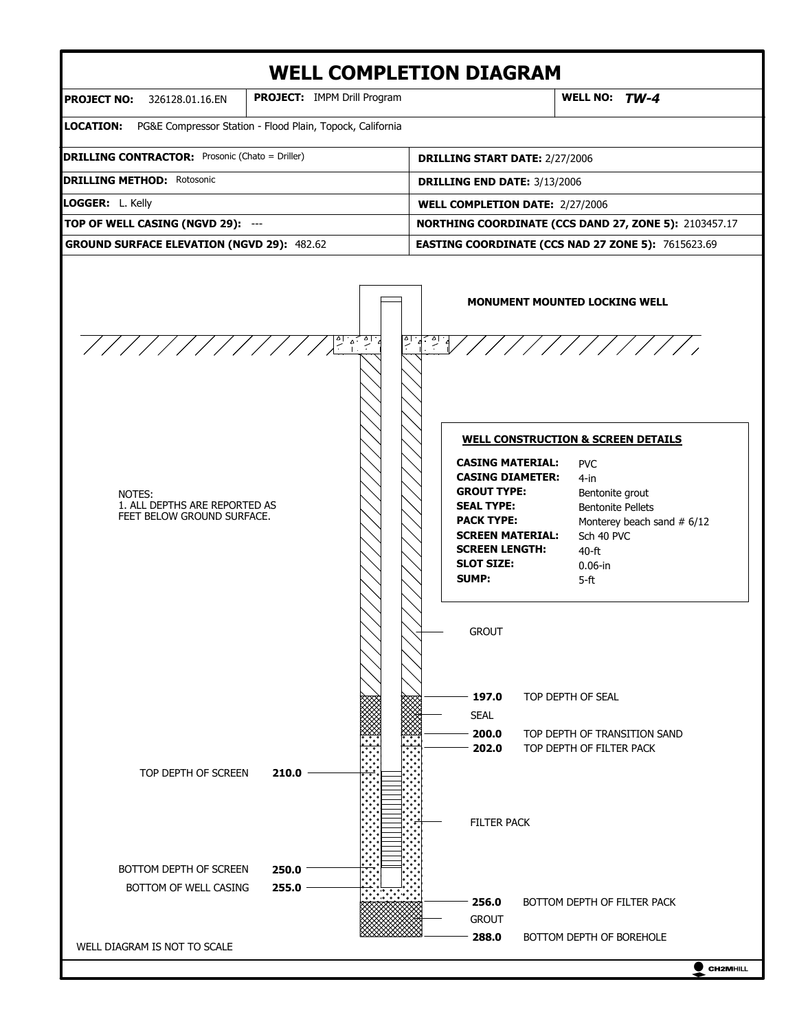